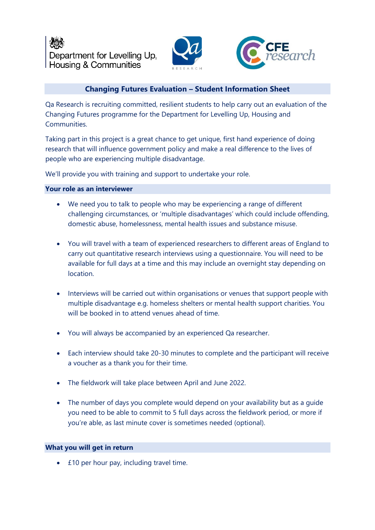



# **Changing Futures Evaluation – Student Information Sheet**

Qa Research is recruiting committed, resilient students to help carry out an evaluation of the Changing Futures programme for the Department for Levelling Up, Housing and **Communities** 

Taking part in this project is a great chance to get unique, first hand experience of doing research that will influence government policy and make a real difference to the lives of people who are experiencing multiple disadvantage.

We'll provide you with training and support to undertake your role.

## **Your role as an interviewer**

- We need you to talk to people who may be experiencing a range of different challenging circumstances, or 'multiple disadvantages' which could include offending, domestic abuse, homelessness, mental health issues and substance misuse.
- You will travel with a team of experienced researchers to different areas of England to carry out quantitative research interviews using a questionnaire. You will need to be available for full days at a time and this may include an overnight stay depending on location.
- Interviews will be carried out within organisations or venues that support people with multiple disadvantage e.g. homeless shelters or mental health support charities. You will be booked in to attend venues ahead of time.
- You will always be accompanied by an experienced Qa researcher.
- Each interview should take 20-30 minutes to complete and the participant will receive a voucher as a thank you for their time.
- The fieldwork will take place between April and June 2022.
- The number of days you complete would depend on your availability but as a guide you need to be able to commit to 5 full days across the fieldwork period, or more if you're able, as last minute cover is sometimes needed (optional).

# **What you will get in return**

• £10 per hour pay, including travel time.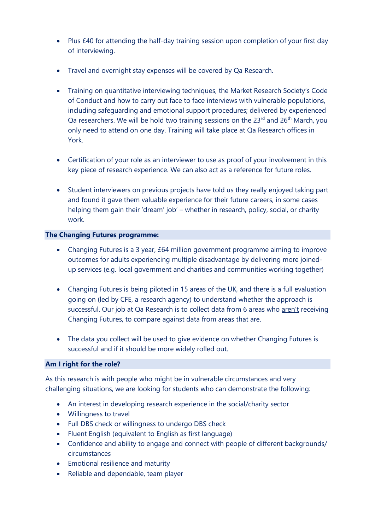- Plus £40 for attending the half-day training session upon completion of your first day of interviewing.
- Travel and overnight stay expenses will be covered by Qa Research.
- Training on quantitative interviewing techniques, the Market Research Society's Code of Conduct and how to carry out face to face interviews with vulnerable populations, including safeguarding and emotional support procedures; delivered by experienced Qa researchers. We will be hold two training sessions on the  $23^{rd}$  and  $26^{th}$  March, you only need to attend on one day. Training will take place at Qa Research offices in York.
- Certification of your role as an interviewer to use as proof of your involvement in this key piece of research experience. We can also act as a reference for future roles.
- Student interviewers on previous projects have told us they really enjoyed taking part and found it gave them valuable experience for their future careers, in some cases helping them gain their 'dream' job' – whether in research, policy, social, or charity work.

# **The Changing Futures programme:**

- Changing Futures is a 3 year, £64 million government programme aiming to improve outcomes for adults experiencing multiple disadvantage by delivering more joinedup services (e.g. local government and charities and communities working together)
- Changing Futures is being piloted in 15 areas of the UK, and there is a full evaluation going on (led by CFE, a research agency) to understand whether the approach is successful. Our job at Qa Research is to collect data from 6 areas who aren't receiving Changing Futures, to compare against data from areas that are.
- The data you collect will be used to give evidence on whether Changing Futures is successful and if it should be more widely rolled out.

## **Am I right for the role?**

As this research is with people who might be in vulnerable circumstances and very challenging situations, we are looking for students who can demonstrate the following:

- An interest in developing research experience in the social/charity sector
- Willingness to travel
- Full DBS check or willingness to undergo DBS check
- Fluent English (equivalent to English as first language)
- Confidence and ability to engage and connect with people of different backgrounds/ circumstances
- Emotional resilience and maturity
- Reliable and dependable, team player